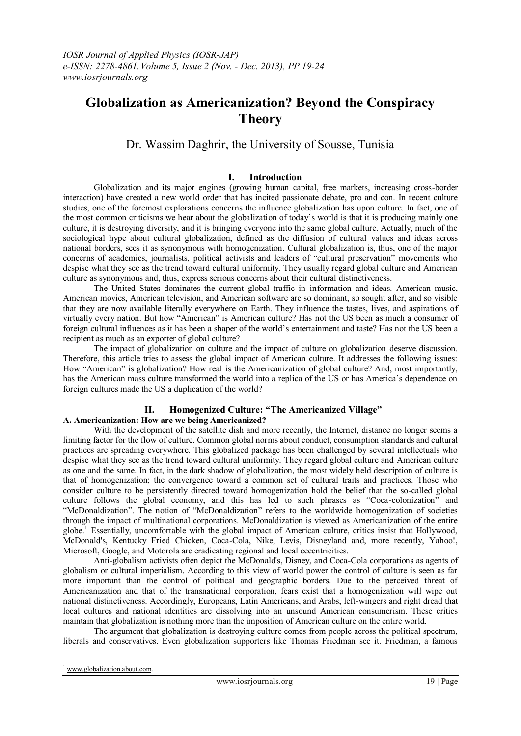# **Globalization as Americanization? Beyond the Conspiracy Theory**

# Dr. Wassim Daghrir, the University of Sousse, Tunisia

# **I. Introduction**

Globalization and its major engines (growing human capital, free markets, increasing cross-border interaction) have created a new world order that has incited passionate debate, pro and con. In recent culture studies, one of the foremost explorations concerns the influence globalization has upon culture. In fact, one of the most common criticisms we hear about the globalization of today"s world is that it is producing mainly one culture, it is destroying diversity, and it is bringing everyone into the same global culture. Actually, much of the sociological hype about cultural globalization, defined as the diffusion of cultural values and ideas across national borders, sees it as synonymous with homogenization. Cultural globalization is, thus, one of the major concerns of academics, journalists, political activists and leaders of "cultural preservation" movements who despise what they see as the trend toward cultural uniformity. They usually regard global culture and American culture as synonymous and, thus, express serious concerns about their cultural distinctiveness.

The United States dominates the current global traffic in information and ideas. American music, American movies, American television, and American software are so dominant, so sought after, and so visible that they are now available literally everywhere on Earth. They influence the tastes, lives, and aspirations of virtually every nation. But how "American" is American culture? Has not the US been as much a consumer of foreign cultural influences as it has been a shaper of the world"s entertainment and taste? Has not the US been a recipient as much as an exporter of global culture?

The impact of globalization on culture and the impact of culture on globalization deserve discussion. Therefore, this article tries to assess the global impact of American culture. It addresses the following issues: How "American" is globalization? How real is the Americanization of global culture? And, most importantly, has the American mass culture transformed the world into a replica of the US or has America's dependence on foreign cultures made the US a duplication of the world?

# **II. Homogenized Culture: "The Americanized Village"**

# **A. Americanization: How are we being Americanized?**

With the development of the satellite dish and more recently, the Internet, distance no longer seems a limiting factor for the flow of culture. Common global norms about conduct, consumption standards and cultural practices are spreading everywhere. This globalized package has been challenged by several intellectuals who despise what they see as the trend toward cultural uniformity. They regard global culture and American culture as one and the same. In fact, in the dark shadow of globalization, the most widely held description of culture is that of homogenization; the convergence toward a common set of cultural traits and practices. Those who consider culture to be persistently directed toward homogenization hold the belief that the so-called global culture follows the global economy, and this has led to such phrases as "Coca-colonization" and "McDonaldization". The notion of "McDonaldization" refers to the worldwide homogenization of societies through the impact of multinational corporations. McDonaldization is viewed as Americanization of the entire globe.<sup>1</sup> Essentially, uncomfortable with the global impact of American culture, critics insist that Hollywood, McDonald's, Kentucky Fried Chicken, Coca-Cola, Nike, Levis, Disneyland and, more recently, Yahoo!, Microsoft, Google, and Motorola are eradicating regional and local eccentricities.

Anti-globalism activists often depict the McDonald's, Disney, and Coca-Cola corporations as agents of globalism or cultural imperialism. According to this view of world power the control of culture is seen as far more important than the control of political and geographic borders. Due to the perceived threat of Americanization and that of the transnational corporation, fears exist that a homogenization will wipe out national distinctiveness. Accordingly, Europeans, Latin Americans, and Arabs, left-wingers and right dread that local cultures and national identities are dissolving into an unsound American consumerism. These critics maintain that globalization is nothing more than the imposition of American culture on the entire world.

The argument that globalization is destroying culture comes from people across the political spectrum, liberals and conservatives. Even globalization supporters like Thomas Friedman see it. Friedman, a famous

<u>.</u>

www[.globalization.about.com.](http://globalization.about.com/)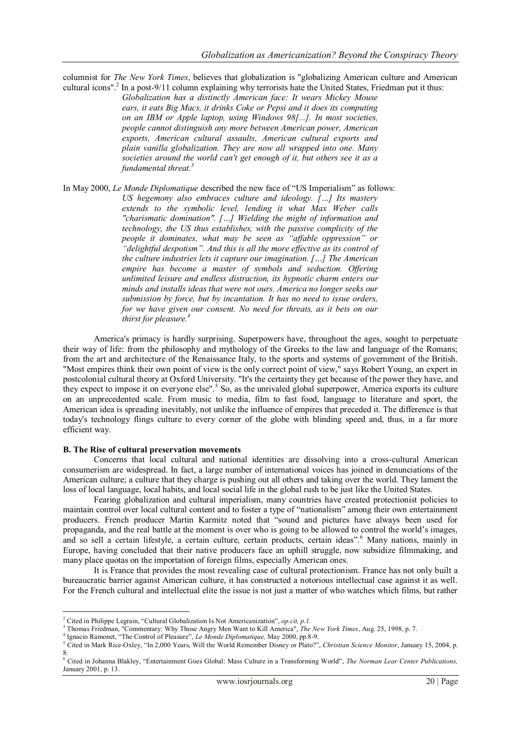columnist for *The New York Times*, believes that globalization is "globalizing American culture and American cultural icons".<sup>2</sup> In a post-9/11 column explaining why terrorists hate the United States, Friedman put it thus:

*Globalization has a distinctly American face: It wears Mickey Mouse ears, it eats Big Macs, it drinks Coke or Pepsi and it does its computing on an IBM or Apple laptop, using Windows 98[...]. In most societies, people cannot distinguish any more between American power, American exports, American cultural assaults, American cultural exports and plain vanilla globalization. They are now all wrapped into one. Many societies around the world can't get enough of it, but others see it as a fundamental threat.<sup>3</sup>*

In May 2000, *Le Monde Diplomatique* described the new face of "US Imperialism" as follows: *US hegemony also embraces culture and ideology. […] Its mastery extends to the symbolic level, lending it what Max Weber calls "charismatic domination". […] Wielding the might of information and technology, the US thus establishes, with the passive complicity of the people it dominates, what may be seen as "affable oppression" or "delightful despotism". And this is all the more effective as its control of the culture industries lets it capture our imagination. […] The American empire has become a master of symbols and seduction. Offering unlimited leisure and endless distraction, its hypnotic charm enters our minds and installs ideas that were not ours. America no longer seeks our submission by force, but by incantation. It has no need to issue orders, for we have given our consent. No need for threats, as it bets on our thirst for pleasure.<sup>4</sup>*

America's primacy is hardly surprising. Superpowers have, throughout the ages, sought to perpetuate their way of life: from the philosophy and mythology of the Greeks to the law and language of the Romans; from the art and architecture of the Renaissance Italy, to the sports and systems of government of the British. "Most empires think their own point of view is the only correct point of view," says Robert Young, an expert in postcolonial cultural theory at Oxford University. "It's the certainty they get because of the power they have, and they expect to impose it on everyone else".<sup>5</sup> So, as the unrivaled global superpower, America exports its culture on an unprecedented scale. From music to media, film to fast food, language to literature and sport, the American idea is spreading inevitably, not unlike the influence of empires that preceded it. The difference is that today's technology flings culture to every corner of the globe with blinding speed and, thus, in a far more efficient way.

### **B. The Rise of cultural preservation movements**

1

Concerns that local cultural and national identities are dissolving into a cross-cultural American consumerism are widespread. In fact, a large number of international voices has joined in denunciations of the American culture; a culture that they charge is pushing out all others and taking over the world. They lament the loss of local language, local habits, and local social life in the global rush to be just like the United States.

Fearing globalization and cultural imperialism, many countries have created protectionist policies to maintain control over local cultural content and to foster a type of "nationalism" among their own entertainment producers. French producer Martin Karmitz noted that "sound and pictures have always been used for propaganda, and the real battle at the moment is over who is going to be allowed to control the world"s images, and so sell a certain lifestyle, a certain culture, certain products, certain ideas".<sup>6</sup> Many nations, mainly in Europe, having concluded that their native producers face an uphill struggle, now subsidize filmmaking, and many place quotas on the importation of foreign films, especially American ones.

It is France that provides the most revealing case of cultural protectionism. France has not only built a bureaucratic barrier against American culture, it has constructed a notorious intellectual case against it as well. For the French cultural and intellectual elite the issue is not just a matter of who watches which films, but rather

<sup>2</sup> Cited in Philippe Legrain, "Cultural Globalization Is Not Americanization", *op.cit, p.1.*

<sup>3</sup> Thomas Friedman, "Commentary: Why Those Angry Men Want to Kill America", *The New York Times*, Aug. 25, 1998, p. 7.

<sup>4</sup> Ignacio Ramonet, "The Control of Pleasure", *Le Monde Diplomatique,* May 2000, pp.8-9.

<sup>5</sup> Cited in Mark Rice-Oxley, "In 2,000 Years, Will the World Remember Disney or Plato?", *[Christian Science Monitor](http://www.csmonitor.com/)*, January 15, 2004, p. 8. <sup>6</sup> Cited in Johanna Blakley, "Entertainment Goes Global: Mass Culture in a Transforming World", *The Norman Lear Center Publications,*

January 2001, p. 13.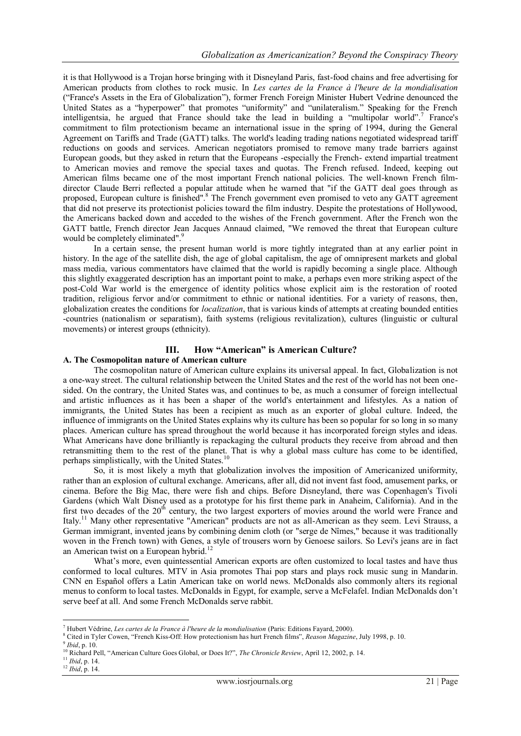it is that Hollywood is a Trojan horse bringing with it Disneyland Paris, fast-food chains and free advertising for American products from clothes to rock music. In *Les cartes de la France à l'heure de la mondialisation* ("France's Assets in the Era of Globalization"), former French Foreign Minister Hubert Vedrine denounced the United States as a "hyperpower" that promotes "uniformity" and "unilateralism." Speaking for the French intelligentsia, he argued that France should take the lead in building a "multipolar world".<sup>7</sup> France's commitment to film protectionism became an international issue in the spring of 1994, during the General Agreement on Tariffs and Trade (GATT) talks. The world's leading trading nations negotiated widespread tariff reductions on goods and services. American negotiators promised to remove many trade barriers against European goods, but they asked in return that the Europeans -especially the French- extend impartial treatment to American movies and remove the special taxes and quotas. The French refused. Indeed, keeping out American films became one of the most important French national policies. The well-known French filmdirector Claude Berri reflected a popular attitude when he warned that "if the GATT deal goes through as proposed, European culture is finished".<sup>8</sup> The French government even promised to veto any GATT agreement that did not preserve its protectionist policies toward the film industry. Despite the protestations of Hollywood, the Americans backed down and acceded to the wishes of the French government. After the French won the GATT battle, French director Jean Jacques Annaud claimed, "We removed the threat that European culture would be completely eliminated".<sup>9</sup>

In a certain sense, the present human world is more tightly integrated than at any earlier point in history. In the age of the satellite dish, the age of global capitalism, the age of omnipresent markets and global mass media, various commentators have claimed that the world is rapidly becoming a single place. Although this slightly exaggerated description has an important point to make, a perhaps even more striking aspect of the post-Cold War world is the emergence of identity politics whose explicit aim is the restoration of rooted tradition, religious fervor and/or commitment to ethnic or national identities. For a variety of reasons, then, globalization creates the conditions for *localization*, that is various kinds of attempts at creating bounded entities -countries (nationalism or separatism), faith systems (religious revitalization), cultures (linguistic or cultural movements) or interest groups (ethnicity).

# **III. How "American" is American Culture?**

## **A. The Cosmopolitan nature of American culture**

The cosmopolitan nature of American culture explains its universal appeal. In fact, Globalization is not a one-way street. The cultural relationship between the United States and the rest of the world has not been onesided. On the contrary, the United States was, and continues to be, as much a consumer of foreign intellectual and artistic influences as it has been a shaper of the world's entertainment and lifestyles. As a nation of immigrants, the United States has been a recipient as much as an exporter of global culture. Indeed, the influence of immigrants on the United States explains why its culture has been so popular for so long in so many places. American culture has spread throughout the world because it has incorporated foreign styles and ideas. What Americans have done brilliantly is repackaging the cultural products they receive from abroad and then retransmitting them to the rest of the planet. That is why a global mass culture has come to be identified, perhaps simplistically, with the United States.<sup>10</sup>

So, it is most likely a myth that globalization involves the imposition of Americanized uniformity, rather than an explosion of cultural exchange. Americans, after all, did not invent fast food, amusement parks, or cinema. Before the Big Mac, there were fish and chips. Before Disneyland, there was Copenhagen's Tivoli Gardens (which Walt Disney used as a prototype for his first theme park in Anaheim, California). And in the first two decades of the  $20<sup>th</sup>$  century, the two largest exporters of movies around the world were France and Italy.<sup>11</sup> Many other representative "American" products are not as all-American as they seem. Levi Strauss, a German immigrant, invented jeans by combining denim cloth (or "serge de Nîmes," because it was traditionally woven in the French town) with Genes, a style of trousers worn by Genoese sailors. So Levi's jeans are in fact an American twist on a European hybrid.<sup>12</sup>

What's more, even quintessential American exports are often customized to local tastes and have thus conformed to local cultures. MTV in Asia promotes Thai pop stars and plays rock music sung in Mandarin. CNN en Español offers a Latin American take on world news. McDonalds also commonly alters its regional menus to conform to local tastes. McDonalds in Egypt, for example, serve a McFelafel. Indian McDonalds don"t serve beef at all. And some French McDonalds serve rabbit.

<sup>&</sup>lt;u>.</u> <sup>7</sup> [Hubert Védrine,](http://www.amazon.fr/exec/obidos/search-handle-url/171-9767085-6160267?%5Fencoding=UTF8&search-type=ss&index=books-fr&field-author=Hubert%20V%C3%A9drine) *Les cartes de la France à l'heure de la mondialisation* (Paris: Editions Fayard, 2000).

<sup>8</sup> Cited i[n Tyler Cowen](http://www.reason.com/contrib/show/293.html), "French Kiss-Off: How protectionism has hurt French films", *Reason Magazine*, July 1998, p. 10.

<sup>9</sup> *Ibid*, p. 10.

<sup>&</sup>lt;sup>10</sup> Richard Pell, "American Culture Goes Global, or Does It?", *The Chronicle Review*, April 12, 2002, p. 14.

<sup>11</sup> *Ibid*, p. 14.

<sup>12</sup> *Ibid*, p. 14.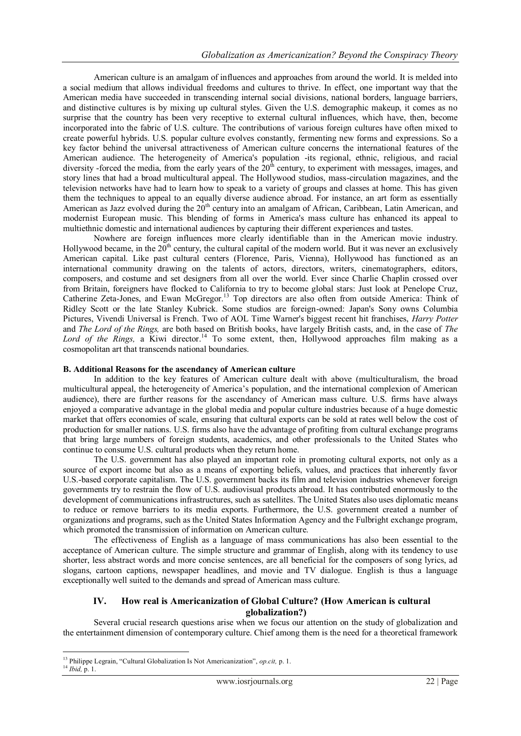American culture is an amalgam of influences and approaches from around the world. It is melded into a social medium that allows individual freedoms and cultures to thrive. In effect, one important way that the American media have succeeded in transcending internal social divisions, national borders, language barriers, and distinctive cultures is by mixing up cultural styles. Given the U.S. demographic makeup, it comes as no surprise that the country has been very receptive to external cultural influences, which have, then, become incorporated into the fabric of U.S. culture. The contributions of various foreign cultures have often mixed to create powerful hybrids. U.S. popular culture evolves constantly, fermenting new forms and expressions. So a key factor behind the universal attractiveness of American culture concerns the international features of the American audience. The heterogeneity of America's population -its regional, ethnic, religious, and racial diversity -forced the media, from the early years of the  $20<sup>th</sup>$  century, to experiment with messages, images, and story lines that had a broad multicultural appeal. The Hollywood studios, mass-circulation magazines, and the television networks have had to learn how to speak to a variety of groups and classes at home. This has given them the techniques to appeal to an equally diverse audience abroad. For instance, an art form as essentially American as Jazz evolved during the  $20<sup>th</sup>$  century into an amalgam of African, Caribbean, Latin American, and modernist European music. This blending of forms in America's mass culture has enhanced its appeal to multiethnic domestic and international audiences by capturing their different experiences and tastes.

Nowhere are foreign influences more clearly identifiable than in the American movie industry. Hollywood became, in the  $20<sup>th</sup>$  century, the cultural capital of the modern world. But it was never an exclusively American capital. Like past cultural centers (Florence, Paris, Vienna), Hollywood has functioned as an international community drawing on the talents of actors, directors, writers, cinematographers, editors, composers, and costume and set designers from all over the world. Ever since Charlie Chaplin crossed over from Britain, foreigners have flocked to California to try to become global stars: Just look at Penelope Cruz, Catherine Zeta-Jones, and Ewan McGregor.<sup>13</sup> Top directors are also often from outside America: Think of Ridley Scott or the late Stanley Kubrick. Some studios are foreign-owned: Japan's Sony owns Columbia Pictures, Vivendi Universal is French. Two of AOL Time Warner's biggest recent hit franchises, *Harry Potter* and *The Lord of the Rings,* are both based on British books, have largely British casts, and, in the case of *The Lord of the Rings, a Kiwi director*.<sup>14</sup> To some extent, then, Hollywood approaches film making as a cosmopolitan art that transcends national boundaries.

### **B. Additional Reasons for the ascendancy of American culture**

In addition to the key features of American culture dealt with above (multiculturalism, the broad multicultural appeal, the heterogeneity of America"s population, and the international complexion of American audience), there are further reasons for the ascendancy of American mass culture. U.S. firms have always enjoyed a comparative advantage in the global media and popular culture industries because of a huge domestic market that offers economies of scale, ensuring that cultural exports can be sold at rates well below the cost of production for smaller nations. U.S. firms also have the advantage of profiting from cultural exchange programs that bring large numbers of foreign students, academics, and other professionals to the United States who continue to consume U.S. cultural products when they return home.

The U.S. government has also played an important role in promoting cultural exports, not only as a source of export income but also as a means of exporting beliefs, values, and practices that inherently favor U.S.-based corporate capitalism. The U.S. government backs its film and television industries whenever foreign governments try to restrain the flow of U.S. audiovisual products abroad. It has contributed enormously to the development of communications infrastructures, such as satellites. The United States also uses diplomatic means to reduce or remove barriers to its media exports. Furthermore, the U.S. government created a number of organizations and programs, such as the United States Information Agency and the Fulbright exchange program, which promoted the transmission of information on American culture.

The effectiveness of English as a language of mass communications has also been essential to the acceptance of American culture. The simple structure and grammar of English, along with its tendency to use shorter, less abstract words and more concise sentences, are all beneficial for the composers of song lyrics, ad slogans, cartoon captions, newspaper headlines, and movie and TV dialogue. English is thus a language exceptionally well suited to the demands and spread of American mass culture.

# **IV. How real is Americanization of Global Culture? (How American is cultural globalization?)**

Several crucial research questions arise when we focus our attention on the study of globalization and the entertainment dimension of contemporary culture. Chief among them is the need for a theoretical framework

<sup>1</sup> <sup>13</sup> Philippe Legrain, "Cultural Globalization Is Not Americanization", *op.cit,* p. 1.

<sup>14</sup> *Ibid,* p. 1.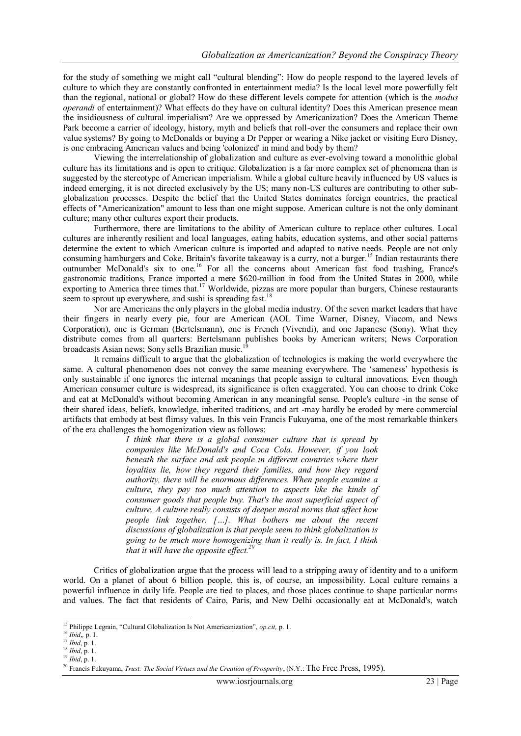for the study of something we might call "cultural blending": How do people respond to the layered levels of culture to which they are constantly confronted in entertainment media? Is the local level more powerfully felt than the regional, national or global? How do these different levels compete for attention (which is the *modus operandi* of entertainment)? What effects do they have on cultural identity? Does this American presence mean the insidiousness of cultural imperialism? Are we oppressed by Americanization? Does the American Theme Park become a carrier of ideology, history, myth and beliefs that roll-over the consumers and replace their own value systems? By going to McDonalds or buying a Dr Pepper or wearing a Nike jacket or visiting Euro Disney, is one embracing American values and being 'colonized' in mind and body by them?

Viewing the interrelationship of globalization and culture as ever-evolving toward a monolithic global culture has its limitations and is open to critique. Globalization is a far more complex set of phenomena than is suggested by the stereotype of American imperialism. While a global culture heavily influenced by US values is indeed emerging, it is not directed exclusively by the US; many non-US cultures are contributing to other subglobalization processes. Despite the belief that the United States dominates foreign countries, the practical effects of "Americanization" amount to less than one might suppose. American culture is not the only dominant culture; many other cultures export their products.

Furthermore, there are limitations to the ability of American culture to replace other cultures. Local cultures are inherently resilient and local languages, eating habits, education systems, and other social patterns determine the extent to which American culture is imported and adapted to native needs. People are not only consuming hamburgers and Coke. Britain's favorite takeaway is a curry, not a burger.<sup>15</sup> Indian restaurants there outnumber McDonald's six to one.<sup>16</sup> For all the concerns about American fast food trashing, France's gastronomic traditions, France imported a mere \$620-million in food from the United States in 2000, while exporting to America three times that.<sup>17</sup> Worldwide, pizzas are more popular than burgers, Chinese restaurants seem to sprout up everywhere, and sushi is spreading fast.<sup>18</sup>

Nor are Americans the only players in the global media industry. Of the seven market leaders that have their fingers in nearly every pie, four are American (AOL Time Warner, Disney, Viacom, and News Corporation), one is German (Bertelsmann), one is French (Vivendi), and one Japanese (Sony). What they distribute comes from all quarters: Bertelsmann publishes books by American writers; News Corporation broadcasts Asian news; Sony sells Brazilian music.<sup>19</sup>

It remains difficult to argue that the globalization of technologies is making the world everywhere the same. A cultural phenomenon does not convey the same meaning everywhere. The 'sameness' hypothesis is only sustainable if one ignores the internal meanings that people assign to cultural innovations. Even though American consumer culture is widespread, its significance is often exaggerated. You can choose to drink Coke and eat at McDonald's without becoming American in any meaningful sense. People's culture -in the sense of their shared ideas, beliefs, knowledge, inherited traditions, and art -may hardly be eroded by mere commercial artifacts that embody at best flimsy values. In this vein Francis Fukuyama, one of the most remarkable thinkers of the era challenges the homogenization view as follows:

> *I think that there is a global consumer culture that is spread by companies like McDonald's and Coca Cola. However, if you look beneath the surface and ask people in different countries where their loyalties lie, how they regard their families, and how they regard authority, there will be enormous differences. When people examine a culture, they pay too much attention to aspects like the kinds of consumer goods that people buy. That's the most superficial aspect of culture. A culture really consists of deeper moral norms that affect how people link together. […]. What bothers me about the recent discussions of globalization is that people seem to think globalization is going to be much more homogenizing than it really is. In fact, I think that it will have the opposite effect.<sup>20</sup>*

Critics of globalization argue that the process will lead to a stripping away of identity and to a uniform world. On a planet of about 6 billion people, this is, of course, an impossibility. Local culture remains a powerful influence in daily life. People are tied to places, and those places continue to shape particular norms and values. The fact that residents of Cairo, Paris, and New Delhi occasionally eat at McDonald's, watch

<u>.</u>

<sup>15</sup> Philippe Legrain, "Cultural Globalization Is Not Americanization", *op.cit,* p. 1.

<sup>16</sup> *Ibid*,*,* p. 1.

<sup>17</sup> *Ibid*, p. 1.

<sup>18</sup> *Ibid*, p. 1.

<sup>19</sup> *Ibid*, p. 1.

<sup>20</sup> Francis Fukuyama, *Trust: The Social Virtues and the Creation of Prosperity*, (N.Y.: The Free Press, 1995).